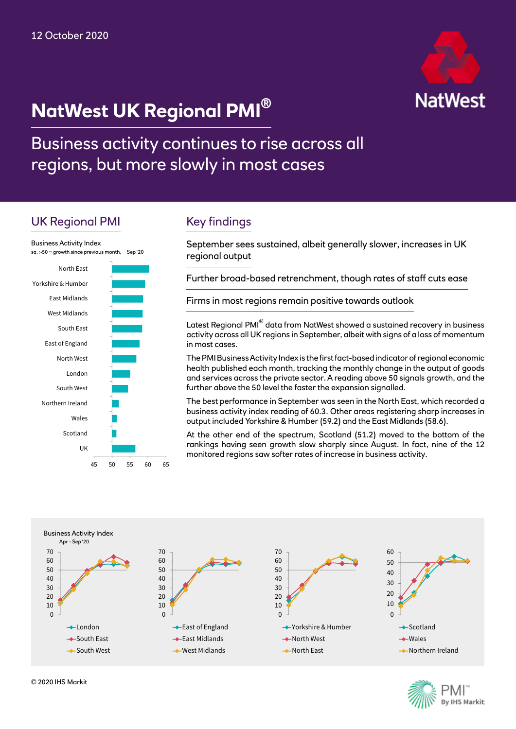



Business activity continues to rise across all regions, but more slowly in most cases

# UK Regional PMI



# Key findings

September sees sustained, albeit generally slower, increases in UK regional output

Further broad-based retrenchment, though rates of staff cuts ease

Firms in most regions remain positive towards outlook

Latest Regional PMI<sup>®</sup> data from NatWest showed a sustained recovery in business activity across all UK regions in September, albeit with signs of a loss of momentum in most cases.

The PMI Business Activity Index is the first fact-based indicator of regional economic health published each month, tracking the monthly change in the output of goods and services across the private sector. A reading above 50 signals growth, and the further above the 50 level the faster the expansion signalled.

The best performance in September was seen in the North East, which recorded a business activity index reading of 60.3. Other areas registering sharp increases in output included Yorkshire & Humber (59.2) and the East Midlands (58.6).

At the other end of the spectrum, Scotland (51.2) moved to the bottom of the rankings having seen growth slow sharply since August. In fact, nine of the 12 monitored regions saw softer rates of increase in business activity.



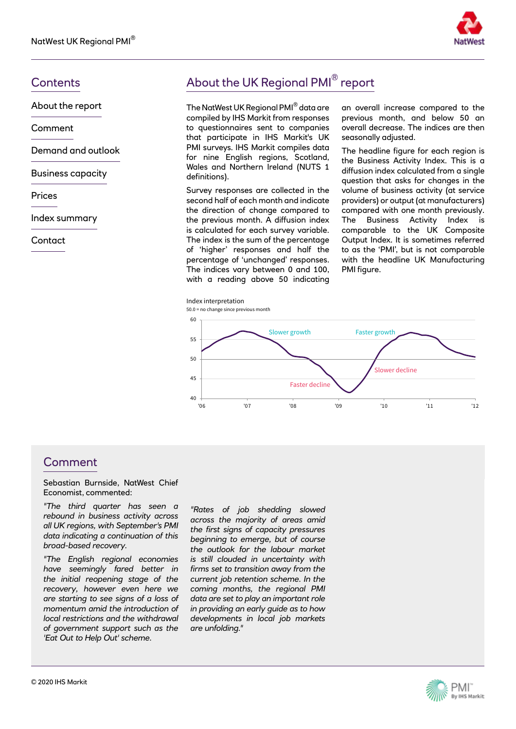

About the report

Comment

Demand and outlook

Business capacity

Prices

Index summary

**Contact** 

# Contents **Contents About the UK Regional PMI**<sup>®</sup> report

The NatWest UK Regional PMI® data are compiled by IHS Markit from responses to questionnaires sent to companies that participate in IHS Markit's UK PMI surveys. IHS Markit compiles data for nine English regions, Scotland, Wales and Northern Ireland (NUTS 1 definitions).

Survey responses are collected in the second half of each month and indicate the direction of change compared to the previous month. A diffusion index is calculated for each survey variable. The index is the sum of the percentage of 'higher' responses and half the percentage of 'unchanged' responses. The indices vary between 0 and 100, with a reading above 50 indicating an overall increase compared to the previous month, and below 50 an overall decrease. The indices are then seasonally adjusted.

The headline figure for each region is the Business Activity Index. This is a diffusion index calculated from a single question that asks for changes in the volume of business activity (at service providers) or output (at manufacturers) compared with one month previously. The Business Activity Index is comparable to the UK Composite Output Index. It is sometimes referred to as the 'PMI', but is not comparable with the headline UK Manufacturing PMI figure.



### Comment

Sebastian Burnside, NatWest Chief Economist, commented:

*"The third quarter has seen a rebound in business activity across all UK regions, with September's PMI data indicating a continuation of this broad-based recovery.*

*"The English regional economies have seemingly fared better in the initial reopening stage of the recovery, however even here we are starting to see signs of a loss of momentum amid the introduction of local restrictions and the withdrawal of government support such as the 'Eat Out to Help Out' scheme.*

*"Rates of job shedding slowed across the majority of areas amid the first signs of capacity pressures beginning to emerge, but of course the outlook for the labour market is still clouded in uncertainty with firms set to transition away from the current job retention scheme. In the coming months, the regional PMI data are set to play an important role in providing an early guide as to how developments in local job markets are unfolding."* 

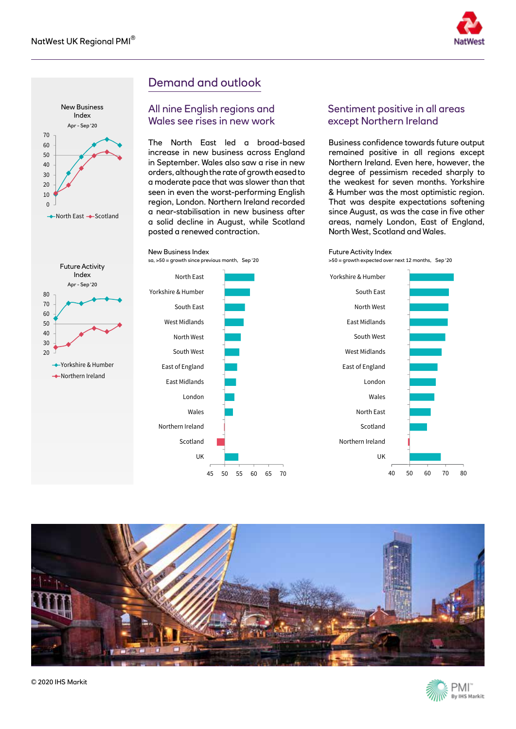



# Demand and outlook

#### All nine English regions and Wales see rises in new work

The North East led a broad-based increase in new business across England in September. Wales also saw a rise in new orders, although the rate of growth eased to a moderate pace that was slower than that seen in even the worst-performing English region, London. Northern Ireland recorded a near-stabilisation in new business after a solid decline in August, while Scotland posted a renewed contraction.

#### Sentiment positive in all areas except Northern Ireland

Business confidence towards future output remained positive in all regions except Northern Ireland. Even here, however, the degree of pessimism receded sharply to the weakest for seven months. Yorkshire & Humber was the most optimistic region. That was despite expectations softening since August, as was the case in five other areas, namely London, East of England, North West, Scotland and Wales.



>50 = growth expected over next 12 months, Sep '20





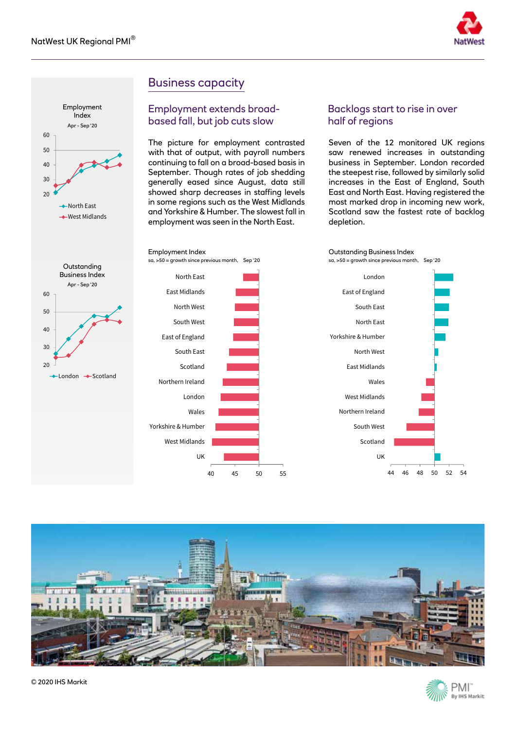Employment





## Business capacity

UK

Wales London

Scotland South East East of England South West North West East Midlands North East

West Midlands Yorkshire & Humber

Northern Ireland

Employment Index

#### Employment extends broadbased fall, but job cuts slow

The picture for employment contrasted with that of output, with payroll numbers continuing to fall on a broad-based basis in September. Though rates of job shedding generally eased since August, data still showed sharp decreases in staffing levels in some regions such as the West Midlands and Yorkshire & Humber. The slowest fall in employment was seen in the North East.

### Backlogs start to rise in over half of regions

Seven of the 12 monitored UK regions saw renewed increases in outstanding business in September. London recorded the steepest rise, followed by similarly solid increases in the East of England, South East and North East. Having registered the most marked drop in incoming new work, Scotland saw the fastest rate of backlog depletion.







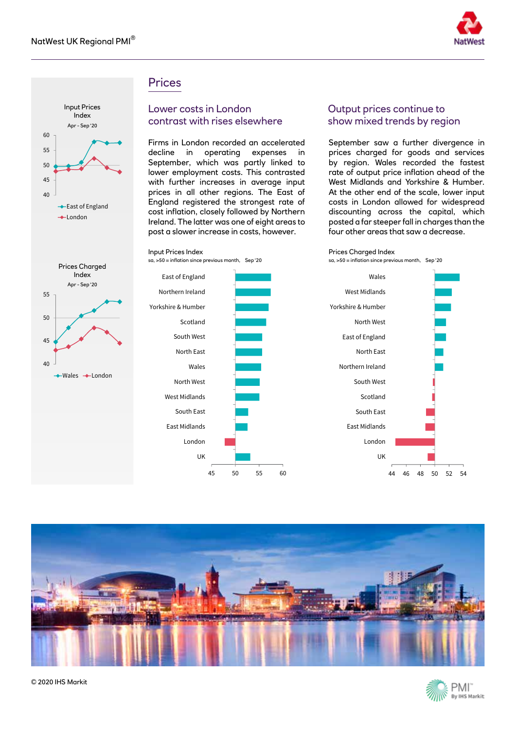

### **Prices**

Input Prices Index

sa, >50 = inflation since previous month, Sep '20



#### Lower costs in London contrast with rises elsewhere

Firms in London recorded an accelerated decline in operating expenses in September, which was partly linked to lower employment costs. This contrasted with further increases in average input prices in all other regions. The East of England registered the strongest rate of cost inflation, closely followed by Northern Ireland. The latter was one of eight areas to post a slower increase in costs, however.

#### Output prices continue to show mixed trends by region

September saw a further divergence in prices charged for goods and services by region. Wales recorded the fastest rate of output price inflation ahead of the West Midlands and Yorkshire & Humber. At the other end of the scale, lower input costs in London allowed for widespread discounting across the capital, which posted a far steeper fall in charges than the four other areas that saw a decrease.



sa, >50 = inflation since previous month, Sep '20









Prices Charged Index Apr - Sep '20 40 45 50 55

 $-Wales$  -London